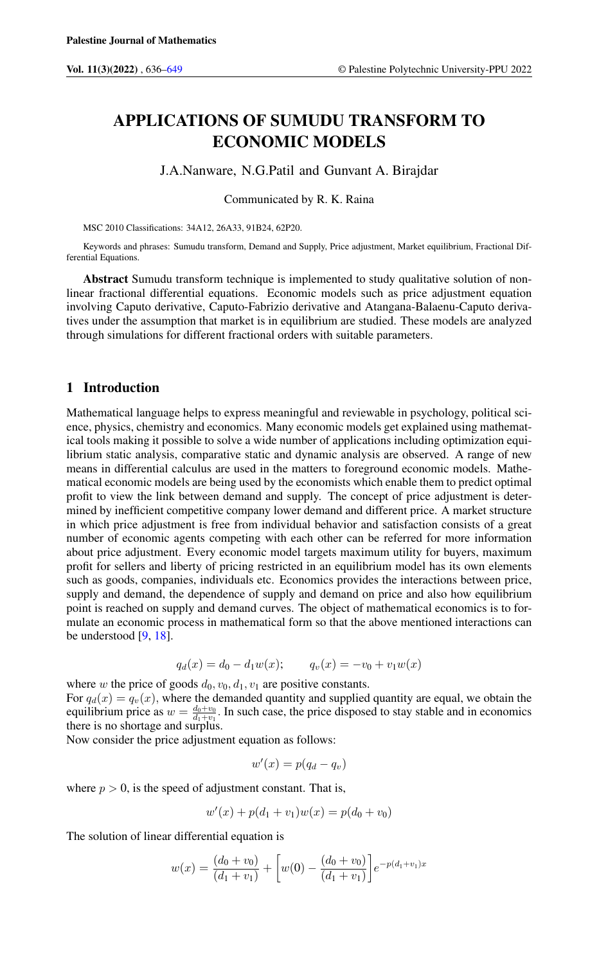# APPLICATIONS OF SUMUDU TRANSFORM TO ECONOMIC MODELS

J.A.Nanware, N.G.Patil and Gunvant A. Birajdar

Communicated by R. K. Raina

MSC 2010 Classifications: 34A12, 26A33, 91B24, 62P20.

Keywords and phrases: Sumudu transform, Demand and Supply, Price adjustment, Market equilibrium, Fractional Differential Equations.

Abstract Sumudu transform technique is implemented to study qualitative solution of nonlinear fractional differential equations. Economic models such as price adjustment equation involving Caputo derivative, Caputo-Fabrizio derivative and Atangana-Balaenu-Caputo derivatives under the assumption that market is in equilibrium are studied. These models are analyzed through simulations for different fractional orders with suitable parameters.

#### 1 Introduction

Mathematical language helps to express meaningful and reviewable in psychology, political science, physics, chemistry and economics. Many economic models get explained using mathematical tools making it possible to solve a wide number of applications including optimization equilibrium static analysis, comparative static and dynamic analysis are observed. A range of new means in differential calculus are used in the matters to foreground economic models. Mathematical economic models are being used by the economists which enable them to predict optimal profit to view the link between demand and supply. The concept of price adjustment is determined by inefficient competitive company lower demand and different price. A market structure in which price adjustment is free from individual behavior and satisfaction consists of a great number of economic agents competing with each other can be referred for more information about price adjustment. Every economic model targets maximum utility for buyers, maximum profit for sellers and liberty of pricing restricted in an equilibrium model has its own elements such as goods, companies, individuals etc. Economics provides the interactions between price, supply and demand, the dependence of supply and demand on price and also how equilibrium point is reached on supply and demand curves. The object of mathematical economics is to formulate an economic process in mathematical form so that the above mentioned interactions can be understood [\[9,](#page-12-1) [18\]](#page-12-2).

$$
q_d(x) = d_0 - d_1 w(x); \qquad q_v(x) = -v_0 + v_1 w(x)
$$

where w the price of goods  $d_0$ ,  $v_0$ ,  $d_1$ ,  $v_1$  are positive constants. For  $q_d(x) = q_v(x)$ , where the demanded quantity and supplied quantity are equal, we obtain the equilibrium price as  $w = \frac{d_0 + v_0}{d_1 + v_1}$ . In such case, the price disposed to stay stable and in economics there is no shortage and surplus.

Now consider the price adjustment equation as follows:

$$
w'(x) = p(q_d - q_v)
$$

where  $p > 0$ , is the speed of adjustment constant. That is,

$$
w'(x) + p(d_1 + v_1)w(x) = p(d_0 + v_0)
$$

The solution of linear differential equation is

$$
w(x) = \frac{(d_0 + v_0)}{(d_1 + v_1)} + \left[w(0) - \frac{(d_0 + v_0)}{(d_1 + v_1)}\right]e^{-p(d_1 + v_1)x}
$$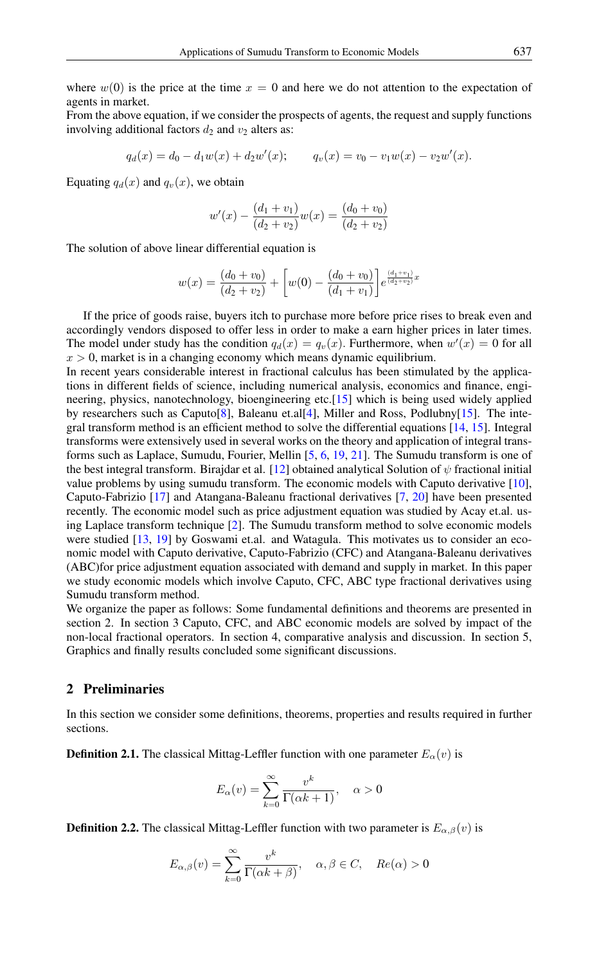where  $w(0)$  is the price at the time  $x = 0$  and here we do not attention to the expectation of agents in market.

From the above equation, if we consider the prospects of agents, the request and supply functions involving additional factors  $d_2$  and  $v_2$  alters as:

$$
q_d(x) = d_0 - d_1 w(x) + d_2 w'(x); \qquad q_v(x) = v_0 - v_1 w(x) - v_2 w'(x).
$$

Equating  $q_d(x)$  and  $q_v(x)$ , we obtain

$$
w'(x) - \frac{(d_1 + v_1)}{(d_2 + v_2)}w(x) = \frac{(d_0 + v_0)}{(d_2 + v_2)}
$$

The solution of above linear differential equation is

$$
w(x) = \frac{(d_0 + v_0)}{(d_2 + v_2)} + \left[w(0) - \frac{(d_0 + v_0)}{(d_1 + v_1)}\right] e^{\frac{(d_1 + v_1)}{(d_2 + v_2)}x}
$$

If the price of goods raise, buyers itch to purchase more before price rises to break even and accordingly vendors disposed to offer less in order to make a earn higher prices in later times. The model under study has the condition  $q_d(x) = q_v(x)$ . Furthermore, when  $w'(x) = 0$  for all  $x > 0$ , market is in a changing economy which means dynamic equilibrium.

In recent years considerable interest in fractional calculus has been stimulated by the applications in different fields of science, including numerical analysis, economics and finance, engineering, physics, nanotechnology, bioengineering etc.[\[15\]](#page-12-3) which is being used widely applied by researchers such as Caputo[\[8\]](#page-12-4), Baleanu et.al[\[4\]](#page-12-5), Miller and Ross, Podlubny[\[15\]](#page-12-3). The integral transform method is an efficient method to solve the differential equations [\[14,](#page-12-6) [15\]](#page-12-3). Integral transforms were extensively used in several works on the theory and application of integral transforms such as Laplace, Sumudu, Fourier, Mellin [\[5,](#page-12-7) [6,](#page-12-8) [19,](#page-12-9) [21\]](#page-13-0). The Sumudu transform is one of the best integral transform. Birajdar et al. [\[12\]](#page-12-10) obtained analytical Solution of  $\psi$  fractional initial value problems by using sumudu transform. The economic models with Caputo derivative [\[10\]](#page-12-11), Caputo-Fabrizio [\[17\]](#page-12-12) and Atangana-Baleanu fractional derivatives [\[7,](#page-12-13) [20\]](#page-13-1) have been presented recently. The economic model such as price adjustment equation was studied by Acay et.al. using Laplace transform technique [\[2\]](#page-12-14). The Sumudu transform method to solve economic models were studied [\[13,](#page-12-15) [19\]](#page-12-9) by Goswami et.al. and Watagula. This motivates us to consider an economic model with Caputo derivative, Caputo-Fabrizio (CFC) and Atangana-Baleanu derivatives (ABC)for price adjustment equation associated with demand and supply in market. In this paper we study economic models which involve Caputo, CFC, ABC type fractional derivatives using Sumudu transform method.

We organize the paper as follows: Some fundamental definitions and theorems are presented in section 2. In section 3 Caputo, CFC, and ABC economic models are solved by impact of the non-local fractional operators. In section 4, comparative analysis and discussion. In section 5, Graphics and finally results concluded some significant discussions.

### 2 Preliminaries

In this section we consider some definitions, theorems, properties and results required in further sections.

**Definition 2.1.** The classical Mittag-Leffler function with one parameter  $E_{\alpha}(v)$  is

$$
E_{\alpha}(v) = \sum_{k=0}^{\infty} \frac{v^k}{\Gamma(\alpha k + 1)}, \quad \alpha > 0
$$

**Definition 2.2.** The classical Mittag-Leffler function with two parameter is  $E_{\alpha,\beta}(v)$  is

$$
E_{\alpha,\beta}(v) = \sum_{k=0}^{\infty} \frac{v^k}{\Gamma(\alpha k + \beta)}, \quad \alpha, \beta \in C, \quad Re(\alpha) > 0
$$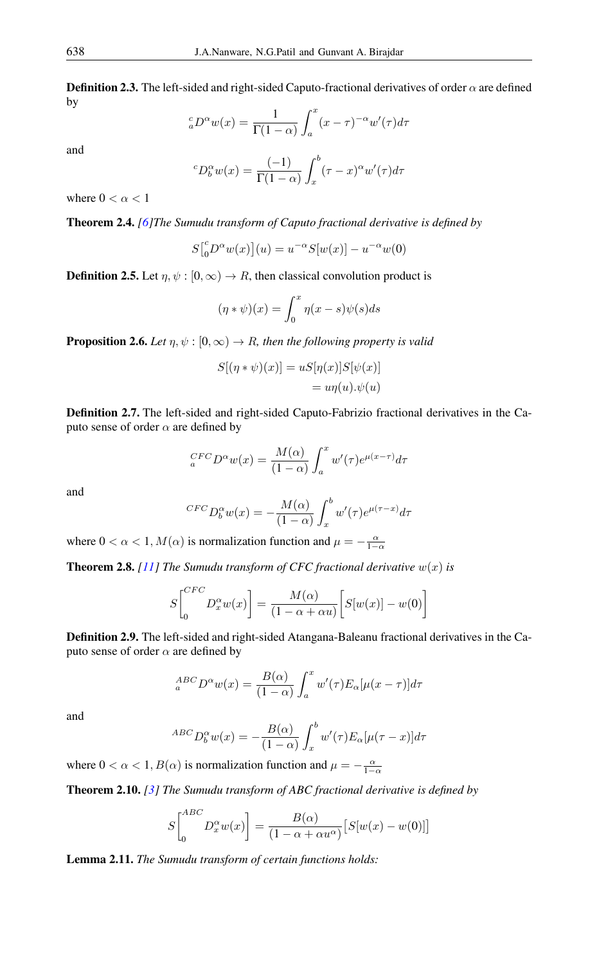**Definition 2.3.** The left-sided and right-sided Caputo-fractional derivatives of order  $\alpha$  are defined by

$$
{}_{a}^{c}D^{\alpha}w(x) = \frac{1}{\Gamma(1-\alpha)} \int_{a}^{x} (x-\tau)^{-\alpha} w'(\tau) d\tau
$$

and

$$
{}^{c}D_{b}^{\alpha}w(x) = \frac{(-1)}{\Gamma(1-\alpha)} \int_{x}^{b} (\tau - x)^{\alpha} w'(\tau) d\tau
$$

where  $0 < \alpha < 1$ 

Theorem 2.4. *[\[6\]](#page-12-8)The Sumudu transform of Caputo fractional derivative is defined by*

$$
S\big[{}_0^c D^\alpha w(x)\big](u) = u^{-\alpha} S[w(x)] - u^{-\alpha} w(0)
$$

**Definition 2.5.** Let  $\eta, \psi : [0, \infty) \to R$ , then classical convolution product is

$$
(\eta * \psi)(x) = \int_0^x \eta(x - s)\psi(s)ds
$$

**Proposition 2.6.** *Let*  $\eta, \psi : [0, \infty) \to R$ *, then the following property is valid* 

$$
S[(\eta * \psi)(x)] = uS[\eta(x)]S[\psi(x)]
$$
  
=  $u\eta(u).\psi(u)$ 

Definition 2.7. The left-sided and right-sided Caputo-Fabrizio fractional derivatives in the Caputo sense of order  $\alpha$  are defined by

$$
{}_{a}^{CFC}D^{\alpha}w(x) = \frac{M(\alpha)}{(1-\alpha)} \int_{a}^{x} w'(\tau)e^{\mu(x-\tau)}d\tau
$$

and

$$
{}^{CFC}D_b^{\alpha}w(x) = -\frac{M(\alpha)}{(1-\alpha)} \int_x^b w'(\tau)e^{\mu(\tau-x)}d\tau
$$

where  $0 < \alpha < 1, M(\alpha)$  is normalization function and  $\mu = -\frac{\alpha}{1-\alpha}$ 

**Theorem 2.8.** [\[11\]](#page-12-16) The Sumudu transform of CFC fractional derivative  $w(x)$  is

$$
S\begin{bmatrix}^{CFC} D_x^{\alpha} w(x) \end{bmatrix} = \frac{M(\alpha)}{(1 - \alpha + \alpha u)} \Big[ S[w(x)] - w(0) \Big]
$$

Definition 2.9. The left-sided and right-sided Atangana-Baleanu fractional derivatives in the Caputo sense of order  $\alpha$  are defined by

$$
{}_{a}^{ABC}D^{\alpha}w(x) = \frac{B(\alpha)}{(1-\alpha)} \int_{a}^{x} w'(\tau)E_{\alpha}[\mu(x-\tau)]d\tau
$$

and

$$
^{ABC}D_b^{\alpha}w(x) = -\frac{B(\alpha)}{(1-\alpha)} \int_x^b w'(\tau)E_{\alpha}[\mu(\tau - x)]d\tau
$$

where  $0 < \alpha < 1$ ,  $B(\alpha)$  is normalization function and  $\mu = -\frac{\alpha}{1-\alpha}$ 

Theorem 2.10. *[\[3\]](#page-12-17) The Sumudu transform of ABC fractional derivative is defined by*

$$
S\begin{bmatrix}^{ABC} \\ 0 \end{bmatrix} D_x^{\alpha} w(x) \bigg] = \frac{B(\alpha)}{(1 - \alpha + \alpha u^{\alpha})} \big[ S[w(x) - w(0)] \big]
$$

Lemma 2.11. *The Sumudu transform of certain functions holds:*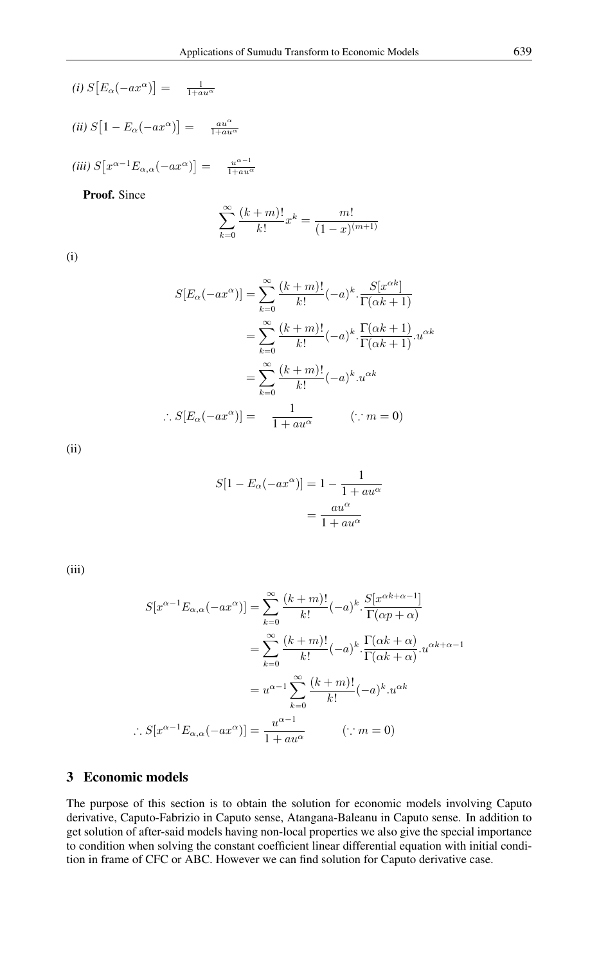$$
(i) S\big[E_\alpha(-ax^\alpha)\big] = \frac{1}{1+au^\alpha}
$$

$$
(ii) S\big[1 - E_{\alpha}(-ax^{\alpha})\big] = \frac{au^{\alpha}}{1 + au^{\alpha}}
$$

$$
(iii) S[x^{\alpha-1}E_{\alpha,\alpha}(-ax^{\alpha})] = \frac{u^{\alpha-1}}{1+au^{\alpha}}
$$

Proof. Since

$$
\sum_{k=0}^{\infty} \frac{(k+m)!}{k!} x^k = \frac{m!}{(1-x)^{(m+1)}}
$$

(i)

$$
S[E_{\alpha}(-ax^{\alpha})] = \sum_{k=0}^{\infty} \frac{(k+m)!}{k!} (-a)^k \cdot \frac{S[x^{\alpha k}]}{\Gamma(\alpha k+1)}
$$

$$
= \sum_{k=0}^{\infty} \frac{(k+m)!}{k!} (-a)^k \cdot \frac{\Gamma(\alpha k+1)}{\Gamma(\alpha k+1)} \cdot u^{\alpha k}
$$

$$
= \sum_{k=0}^{\infty} \frac{(k+m)!}{k!} (-a)^k \cdot u^{\alpha k}
$$

$$
\therefore S[E_{\alpha}(-ax^{\alpha})] = \frac{1}{1+au^{\alpha}} \qquad (\because m = 0)
$$

(ii)

$$
S[1 - E_{\alpha}(-ax^{\alpha})] = 1 - \frac{1}{1 + au^{\alpha}}
$$

$$
= \frac{au^{\alpha}}{1 + au^{\alpha}}
$$

(iii)

$$
S[x^{\alpha-1}E_{\alpha,\alpha}(-ax^{\alpha})] = \sum_{k=0}^{\infty} \frac{(k+m)!}{k!}(-a)^k \cdot \frac{S[x^{\alpha k+\alpha-1}]}{\Gamma(\alpha p+\alpha)}
$$

$$
= \sum_{k=0}^{\infty} \frac{(k+m)!}{k!}(-a)^k \cdot \frac{\Gamma(\alpha k+\alpha)}{\Gamma(\alpha k+\alpha)} \cdot u^{\alpha k+\alpha-1}
$$

$$
= u^{\alpha-1} \sum_{k=0}^{\infty} \frac{(k+m)!}{k!}(-a)^k \cdot u^{\alpha k}
$$

$$
\therefore S[x^{\alpha-1}E_{\alpha,\alpha}(-ax^{\alpha})] = \frac{u^{\alpha-1}}{1+au^{\alpha}} \qquad (\because m=0)
$$

# 3 Economic models

The purpose of this section is to obtain the solution for economic models involving Caputo derivative, Caputo-Fabrizio in Caputo sense, Atangana-Baleanu in Caputo sense. In addition to get solution of after-said models having non-local properties we also give the special importance to condition when solving the constant coefficient linear differential equation with initial condition in frame of CFC or ABC. However we can find solution for Caputo derivative case.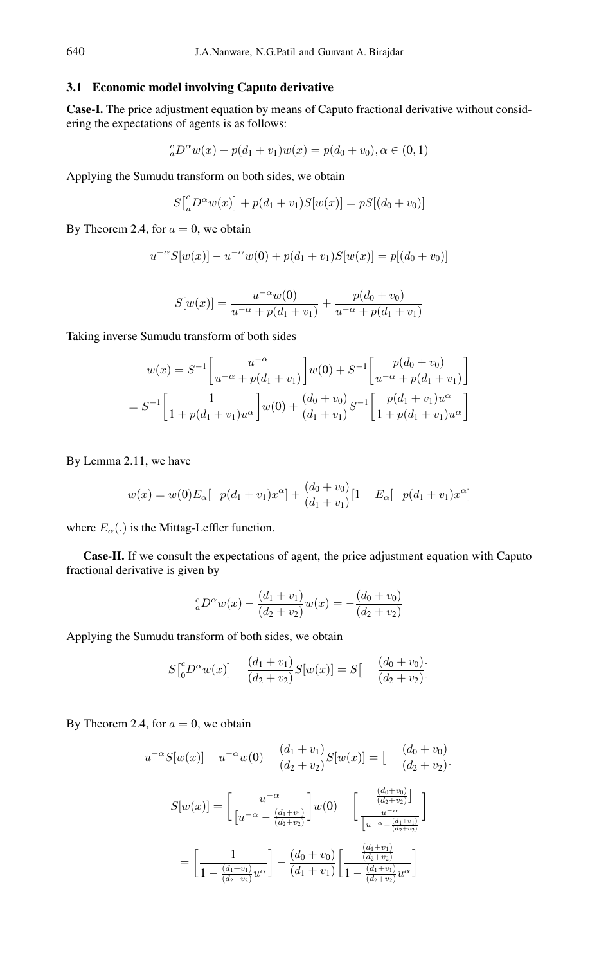#### 3.1 Economic model involving Caputo derivative

Case-I. The price adjustment equation by means of Caputo fractional derivative without considering the expectations of agents is as follows:

$$
{}_{a}^{c}D^{\alpha}w(x) + p(d_1 + v_1)w(x) = p(d_0 + v_0), \alpha \in (0, 1)
$$

Applying the Sumudu transform on both sides, we obtain

$$
S\big[_{a}^{c}D^{\alpha}w(x)\big] + p(d_1 + v_1)S[w(x)] = pS[(d_0 + v_0)]
$$

By Theorem 2.4, for  $a = 0$ , we obtain

$$
u^{-\alpha}S[w(x)] - u^{-\alpha}w(0) + p(d_1 + v_1)S[w(x)] = p[(d_0 + v_0)]
$$

$$
S[w(x)] = \frac{u^{-\alpha}w(0)}{u^{-\alpha} + p(d_1 + v_1)} + \frac{p(d_0 + v_0)}{u^{-\alpha} + p(d_1 + v_1)}
$$

Taking inverse Sumudu transform of both sides

$$
w(x) = S^{-1} \left[ \frac{u^{-\alpha}}{u^{-\alpha} + p(d_1 + v_1)} \right] w(0) + S^{-1} \left[ \frac{p(d_0 + v_0)}{u^{-\alpha} + p(d_1 + v_1)} \right]
$$
  
=  $S^{-1} \left[ \frac{1}{1 + p(d_1 + v_1)u^{\alpha}} \right] w(0) + \frac{(d_0 + v_0)}{(d_1 + v_1)} S^{-1} \left[ \frac{p(d_1 + v_1)u^{\alpha}}{1 + p(d_1 + v_1)u^{\alpha}} \right]$ 

By Lemma 2.11, we have

$$
w(x) = w(0)E_{\alpha}[-p(d_1 + v_1)x^{\alpha}] + \frac{(d_0 + v_0)}{(d_1 + v_1)}[1 - E_{\alpha}[-p(d_1 + v_1)x^{\alpha}]
$$

where  $E_{\alpha}$ (.) is the Mittag-Leffler function.

Case-II. If we consult the expectations of agent, the price adjustment equation with Caputo fractional derivative is given by

$$
{}_{a}^{c}D^{\alpha}w(x) - \frac{(d_1 + v_1)}{(d_2 + v_2)}w(x) = -\frac{(d_0 + v_0)}{(d_2 + v_2)}
$$

Applying the Sumudu transform of both sides, we obtain

$$
S\left[ {}^{c}_{0}D^{\alpha}w(x)\right] - \frac{(d_1 + v_1)}{(d_2 + v_2)}S[w(x)] = S\left[ - \frac{(d_0 + v_0)}{(d_2 + v_2)} \right]
$$

By Theorem 2.4, for  $a = 0$ , we obtain

$$
u^{-\alpha}S[w(x)] - u^{-\alpha}w(0) - \frac{(d_1 + v_1)}{(d_2 + v_2)}S[w(x)] = \left[ -\frac{(d_0 + v_0)}{(d_2 + v_2)} \right]
$$

$$
S[w(x)] = \left[ \frac{u^{-\alpha}}{[u^{-\alpha} - \frac{(d_1 + v_1)}{(d_2 + v_2)}} \right]w(0) - \left[ \frac{-\frac{(d_0 + v_0)}{(d_2 + v_2)}}{\frac{u^{-\alpha}}{[u^{-\alpha} - \frac{(d_1 + v_1)}{(d_2 + v_2)}}} \right]
$$

$$
= \left[ \frac{1}{1 - \frac{(d_1 + v_1)}{(d_2 + v_2)}u^{\alpha}} \right] - \frac{(d_0 + v_0)}{(d_1 + v_1)} \left[ \frac{\frac{(d_1 + v_1)}{(d_2 + v_2)}}{1 - \frac{(d_1 + v_1)}{(d_2 + v_2)}}u^{\alpha} \right]
$$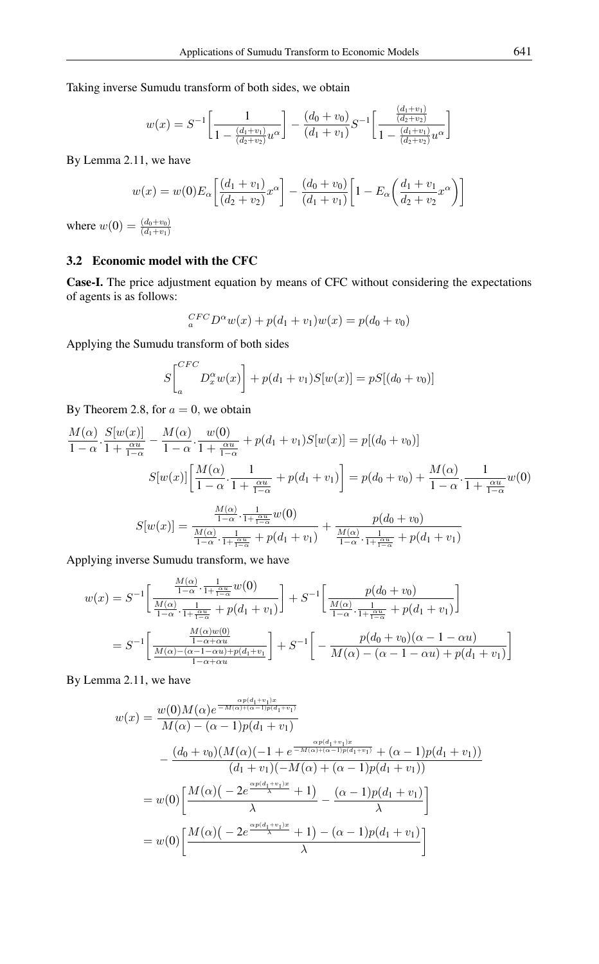Taking inverse Sumudu transform of both sides, we obtain

$$
w(x) = S^{-1} \left[ \frac{1}{1 - \frac{(d_1 + v_1)}{(d_2 + v_2)} u^{\alpha}} \right] - \frac{(d_0 + v_0)}{(d_1 + v_1)} S^{-1} \left[ \frac{\frac{(d_1 + v_1)}{(d_2 + v_2)}}{1 - \frac{(d_1 + v_1)}{(d_2 + v_2)} u^{\alpha}} \right]
$$

By Lemma 2.11, we have

$$
w(x) = w(0)E_{\alpha}\left[\frac{(d_1 + v_1)}{(d_2 + v_2)}x^{\alpha}\right] - \frac{(d_0 + v_0)}{(d_1 + v_1)}\left[1 - E_{\alpha}\left(\frac{d_1 + v_1}{d_2 + v_2}x^{\alpha}\right)\right]
$$

where  $w(0) = \frac{(d_0 + v_0)}{(d_1 + v_1)}$ 

### 3.2 Economic model with the CFC

Case-I. The price adjustment equation by means of CFC without considering the expectations of agents is as follows:

$$
_{a}^{CFC}D^{\alpha}w(x) + p(d_1 + v_1)w(x) = p(d_0 + v_0)
$$

Applying the Sumudu transform of both sides

$$
S\left[\begin{matrix} CFC \ D_x^{\alpha} w(x) \end{matrix}\right] + p(d_1 + v_1)S[w(x)] = pS[(d_0 + v_0)]
$$

By Theorem 2.8, for  $a = 0$ , we obtain

$$
\frac{M(\alpha)}{1-\alpha} \cdot \frac{S[w(x)]}{1+\frac{\alpha u}{1-\alpha}} - \frac{M(\alpha)}{1-\alpha} \cdot \frac{w(0)}{1+\frac{\alpha u}{1-\alpha}} + p(d_1+v_1)S[w(x)] = p[(d_0+v_0)]
$$

$$
S[w(x)] \left[ \frac{M(\alpha)}{1-\alpha} \cdot \frac{1}{1+\frac{\alpha u}{1-\alpha}} + p(d_1+v_1) \right] = p(d_0+v_0) + \frac{M(\alpha)}{1-\alpha} \cdot \frac{1}{1+\frac{\alpha u}{1-\alpha}} w(0)
$$

$$
S[w(x)] = \frac{\frac{M(\alpha)}{1-\alpha} \cdot \frac{1}{1+\frac{\alpha u}{1-\alpha}} w(0)}{\frac{M(\alpha)}{1-\alpha} \cdot \frac{1}{1+\frac{\alpha u}{1-\alpha}} + p(d_1+v_1)} + \frac{p(d_0+v_0)}{\frac{M(\alpha)}{1-\alpha} \cdot \frac{1}{1+\frac{\alpha u}{1-\alpha}} + p(d_1+v_1)}
$$

Applying inverse Sumudu transform, we have

$$
w(x) = S^{-1} \left[ \frac{\frac{M(\alpha)}{1 - \alpha} \cdot \frac{1}{1 + \frac{\alpha u}{1 - \alpha}} w(0)}{\frac{M(\alpha)}{1 - \alpha} \cdot \frac{1}{1 + \frac{\alpha u}{1 - \alpha}} + p(d_1 + v_1)} \right] + S^{-1} \left[ \frac{p(d_0 + v_0)}{\frac{M(\alpha)}{1 - \alpha} \cdot \frac{1}{1 + \frac{\alpha u}{1 - \alpha}} + p(d_1 + v_1)} \right]
$$
  
=  $S^{-1} \left[ \frac{\frac{M(\alpha)w(0)}{1 - \alpha + \alpha u}}{\frac{M(\alpha) - (\alpha - 1 - \alpha u) + p(d_1 + v_1)}{1 - \alpha + \alpha u}} \right] + S^{-1} \left[ -\frac{p(d_0 + v_0)(\alpha - 1 - \alpha u)}{M(\alpha) - (\alpha - 1 - \alpha u) + p(d_1 + v_1)} \right]$ 

By Lemma 2.11, we have

$$
w(x) = \frac{w(0)M(\alpha)e^{\frac{\alpha p(d_1+v_1)x}{-M(\alpha)+(\alpha-1)p(d_1+v_1)}}
$$
  
\n
$$
-\frac{(d_0+v_0)(M(\alpha)(-1+e^{\frac{\alpha p(d_1+v_1)x}{-M(\alpha)+(\alpha-1)p(d_1+v_1)}+(\alpha-1)p(d_1+v_1))}}{(d_1+v_1)(-M(\alpha)+(\alpha-1)p(d_1+v_1))}
$$
  
\n
$$
= w(0)\left[\frac{M(\alpha)(-2e^{\frac{\alpha p(d_1+v_1)x}{\lambda}}+1)}{\lambda}-\frac{(\alpha-1)p(d_1+v_1)}{\lambda}\right]
$$
  
\n
$$
= w(0)\left[\frac{M(\alpha)(-2e^{\frac{\alpha p(d_1+v_1)x}{\lambda}}+1)-(\alpha-1)p(d_1+v_1)}{\lambda}\right]
$$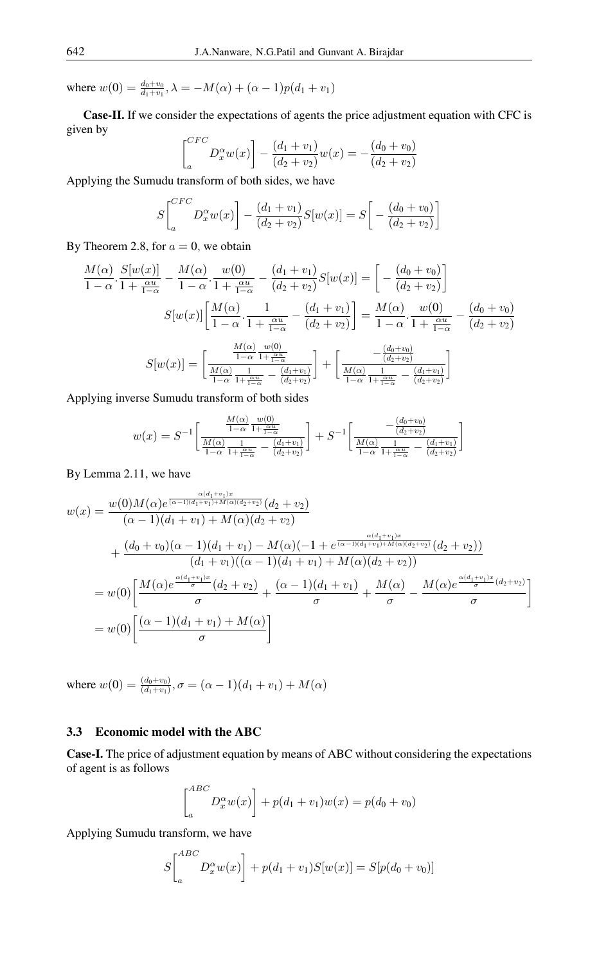where  $w(0) = \frac{d_0 + v_0}{d_1 + v_1}$ ,  $\lambda = -M(\alpha) + (\alpha - 1)p(d_1 + v_1)$ 

Case-II. If we consider the expectations of agents the price adjustment equation with CFC is given by

$$
\begin{bmatrix} {^{CFC}} \\ {^{C}} \end{bmatrix} D_x^{\alpha} w(x) \bigg] - \frac{(d_1 + v_1)}{(d_2 + v_2)} w(x) = -\frac{(d_0 + v_0)}{(d_2 + v_2)}
$$

Applying the Sumudu transform of both sides, we have

$$
S\left[\begin{matrix}^{CFC} \\ a \end{matrix} D_x^{\alpha} w(x) \right] - \frac{(d_1 + v_1)}{(d_2 + v_2)} S[w(x)] = S\left[ - \frac{(d_0 + v_0)}{(d_2 + v_2)} \right]
$$

By Theorem 2.8, for  $a = 0$ , we obtain

$$
\frac{M(\alpha)}{1-\alpha} \cdot \frac{S[w(x)]}{1+\frac{\alpha u}{1-\alpha}} - \frac{M(\alpha)}{1-\alpha} \cdot \frac{w(0)}{1+\frac{\alpha u}{1-\alpha}} - \frac{(d_1+v_1)}{(d_2+v_2)} S[w(x)] = \left[ -\frac{(d_0+v_0)}{(d_2+v_2)} \right]
$$

$$
S[w(x)] \left[ \frac{M(\alpha)}{1-\alpha} \cdot \frac{1}{1+\frac{\alpha u}{1-\alpha}} - \frac{(d_1+v_1)}{(d_2+v_2)} \right] = \frac{M(\alpha)}{1-\alpha} \cdot \frac{w(0)}{1+\frac{\alpha u}{1-\alpha}} - \frac{(d_0+v_0)}{(d_2+v_2)}
$$

$$
S[w(x)] = \left[ \frac{\frac{M(\alpha)}{1-\alpha} \frac{w(0)}{1+\frac{\alpha u}{1-\alpha}}}{\frac{M(\alpha)}{1-\alpha} \frac{1}{1+\frac{\alpha u}{1-\alpha}} - \frac{(d_1+v_1)}{(d_2+v_2)}} \right] + \left[ \frac{-\frac{(d_0+v_0)}{(d_2+v_2)}}{\frac{M(\alpha)}{1-\alpha} \frac{1}{1+\frac{\alpha u}{1-\alpha}} - \frac{(d_1+v_1)}{(d_2+v_2)}} \right]
$$

Applying inverse Sumudu transform of both sides

$$
w(x) = S^{-1} \left[ \frac{\frac{M(\alpha)}{1 - \alpha} \frac{w(0)}{1 + \frac{\alpha u}{1 - \alpha}}}{\frac{M(\alpha)}{1 - \alpha} \frac{1}{1 + \frac{\alpha u}{1 - \alpha}} - \frac{(d_1 + v_1)}{(d_2 + v_2)}} \right] + S^{-1} \left[ \frac{-\frac{(d_0 + v_0)}{(d_2 + v_2)}}{\frac{M(\alpha)}{1 - \alpha} \frac{1}{1 + \frac{\alpha u}{1 - \alpha}} - \frac{(d_1 + v_1)}{(d_2 + v_2)}} \right]
$$

By Lemma 2.11, we have

$$
w(x) = \frac{w(0)M(\alpha)e^{\frac{\alpha(d_1+v_1)x}{(\alpha-1)(d_1+v_1)+M(\alpha)(d_2+v_2)}}(\alpha_2+v_2)}{(\alpha-1)(d_1+v_1)+M(\alpha)(d_2+v_2)}
$$
  
+ 
$$
\frac{(d_0+v_0)(\alpha-1)(d_1+v_1)-M(\alpha)(-1+e^{\frac{\alpha(d_1+v_1)x}{(\alpha-1)(d_1+v_1)+M(\alpha)(d_2+v_2)}}(\alpha_2+v_2))}{(d_1+v_1)((\alpha-1)(d_1+v_1)+M(\alpha)(d_2+v_2))}
$$
  
= 
$$
w(0)\left[\frac{M(\alpha)e^{\frac{\alpha(d_1+v_1)x}{\sigma}}(d_2+v_2)}{\sigma}+\frac{(\alpha-1)(d_1+v_1)}{\sigma}+\frac{M(\alpha)}{\sigma}-\frac{M(\alpha)e^{\frac{\alpha(d_1+v_1)x}{\sigma}(\alpha_2+v_2)}}{\sigma}\right]
$$
  
= 
$$
w(0)\left[\frac{(\alpha-1)(d_1+v_1)+M(\alpha)}{\sigma}\right]
$$

where  $w(0) = \frac{(d_0 + v_0)}{(d_1 + v_1)}$ ,  $\sigma = (\alpha - 1)(d_1 + v_1) + M(\alpha)$ 

### 3.3 Economic model with the ABC

Case-I. The price of adjustment equation by means of ABC without considering the expectations of agent is as follows

$$
\begin{bmatrix}^{ABC} \\ D_x^{\alpha} w(x) \end{bmatrix} + p(d_1 + v_1) w(x) = p(d_0 + v_0)
$$

Applying Sumudu transform, we have

$$
S\left[\begin{matrix}^{ABC} \\ a \end{matrix} D_x^{\alpha} w(x) \right] + p(d_1 + v_1) S[w(x)] = S[p(d_0 + v_0)]
$$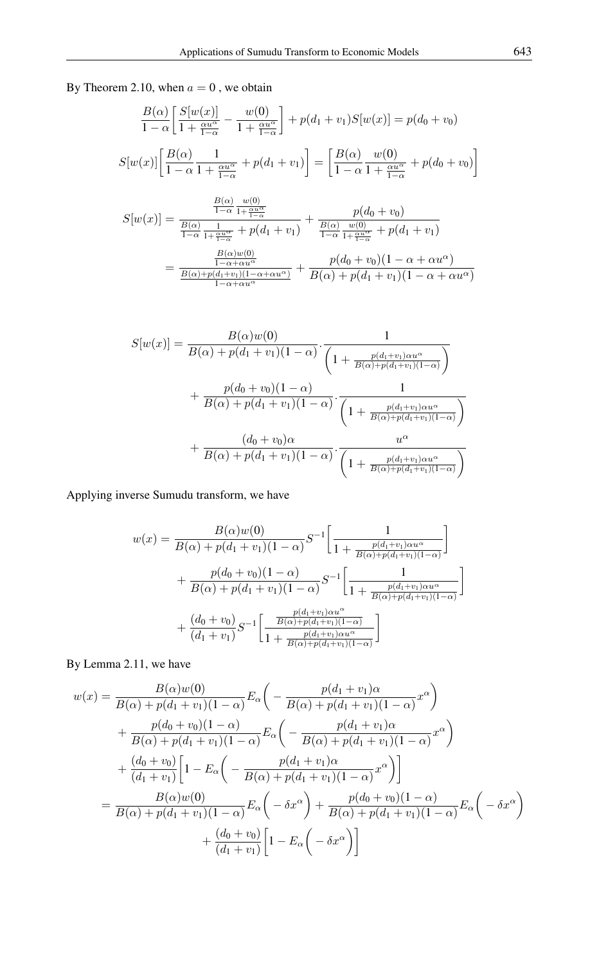By Theorem 2.10, when  $a = 0$ , we obtain

$$
\frac{B(\alpha)}{1-\alpha} \left[ \frac{S[w(x)]}{1+\frac{\alpha u^{\alpha}}{1-\alpha}} - \frac{w(0)}{1+\frac{\alpha u^{\alpha}}{1-\alpha}} \right] + p(d_1 + v_1)S[w(x)] = p(d_0 + v_0)
$$

$$
S[w(x)] \left[ \frac{B(\alpha)}{1-\alpha} \frac{1}{1+\frac{\alpha u^{\alpha}}{1-\alpha}} + p(d_1 + v_1) \right] = \left[ \frac{B(\alpha)}{1-\alpha} \frac{w(0)}{1+\frac{\alpha u^{\alpha}}{1-\alpha}} + p(d_0 + v_0) \right]
$$

$$
S[w(x)] = \frac{\frac{B(\alpha)}{1-\alpha} \frac{w(0)}{1+\frac{\alpha u^{\alpha}}{1-\alpha}}}{\frac{B(\alpha)}{1-\alpha} \frac{1}{1+\frac{\alpha u^{\alpha}}{1-\alpha}} + p(d_1 + v_1)} + \frac{p(d_0 + v_0)}{\frac{B(\alpha)}{1-\alpha} \frac{w(0)}{1+\frac{\alpha u^{\alpha}}{1-\alpha}} + p(d_1 + v_1)}
$$
  
= 
$$
\frac{\frac{B(\alpha)w(0)}{1-\alpha + \alpha u^{\alpha}}}{\frac{B(\alpha)+p(d_1+v_1)(1-\alpha + \alpha u^{\alpha})}{1-\alpha + \alpha u^{\alpha}} + \frac{p(d_0 + v_0)(1-\alpha + \alpha u^{\alpha})}{B(\alpha) + p(d_1 + v_1)(1-\alpha + \alpha u^{\alpha})}}
$$

$$
S[w(x)] = \frac{B(\alpha)w(0)}{B(\alpha) + p(d_1 + v_1)(1 - \alpha)} \cdot \frac{1}{\left(1 + \frac{p(d_1 + v_1)\alpha u^{\alpha}}{B(\alpha) + p(d_1 + v_1)(1 - \alpha)}\right)}
$$
  
+ 
$$
\frac{p(d_0 + v_0)(1 - \alpha)}{B(\alpha) + p(d_1 + v_1)(1 - \alpha)} \cdot \frac{1}{\left(1 + \frac{p(d_1 + v_1)\alpha u^{\alpha}}{B(\alpha) + p(d_1 + v_1)(1 - \alpha)}\right)}
$$
  
+ 
$$
\frac{(d_0 + v_0)\alpha}{B(\alpha) + p(d_1 + v_1)(1 - \alpha)} \cdot \frac{u^{\alpha}}{\left(1 + \frac{p(d_1 + v_1)\alpha u^{\alpha}}{B(\alpha) + p(d_1 + v_1)(1 - \alpha)}\right)}
$$

Applying inverse Sumudu transform, we have

$$
w(x) = \frac{B(\alpha)w(0)}{B(\alpha) + p(d_1 + v_1)(1 - \alpha)} S^{-1} \left[ \frac{1}{1 + \frac{p(d_1 + v_1)\alpha u^{\alpha}}{B(\alpha) + p(d_1 + v_1)(1 - \alpha)}} \right] + \frac{p(d_0 + v_0)(1 - \alpha)}{B(\alpha) + p(d_1 + v_1)(1 - \alpha)} S^{-1} \left[ \frac{1}{1 + \frac{p(d_1 + v_1)\alpha u^{\alpha}}{B(\alpha) + p(d_1 + v_1)(1 - \alpha)}} \right] + \frac{(d_0 + v_0)}{(d_1 + v_1)} S^{-1} \left[ \frac{\frac{p(d_1 + v_1)\alpha u^{\alpha}}{B(\alpha) + p(d_1 + v_1)(1 - \alpha)}}{1 + \frac{p(d_1 + v_1)\alpha u^{\alpha}}{B(\alpha) + p(d_1 + v_1)(1 - \alpha)}} \right]
$$

By Lemma 2.11, we have

$$
w(x) = \frac{B(\alpha)w(0)}{B(\alpha) + p(d_1 + v_1)(1 - \alpha)} E_{\alpha} \left( -\frac{p(d_1 + v_1)\alpha}{B(\alpha) + p(d_1 + v_1)(1 - \alpha)} x^{\alpha} \right)
$$
  
+ 
$$
\frac{p(d_0 + v_0)(1 - \alpha)}{B(\alpha) + p(d_1 + v_1)(1 - \alpha)} E_{\alpha} \left( -\frac{p(d_1 + v_1)\alpha}{B(\alpha) + p(d_1 + v_1)(1 - \alpha)} x^{\alpha} \right)
$$
  
+ 
$$
\frac{(d_0 + v_0)}{(d_1 + v_1)} \left[ 1 - E_{\alpha} \left( -\frac{p(d_1 + v_1)\alpha}{B(\alpha) + p(d_1 + v_1)(1 - \alpha)} x^{\alpha} \right) \right]
$$
  
= 
$$
\frac{B(\alpha)w(0)}{B(\alpha) + p(d_1 + v_1)(1 - \alpha)} E_{\alpha} \left( -\delta x^{\alpha} \right) + \frac{p(d_0 + v_0)(1 - \alpha)}{B(\alpha) + p(d_1 + v_1)(1 - \alpha)} E_{\alpha} \left( -\delta x^{\alpha} \right)
$$
  
+ 
$$
\frac{(d_0 + v_0)}{(d_1 + v_1)} \left[ 1 - E_{\alpha} \left( -\delta x^{\alpha} \right) \right]
$$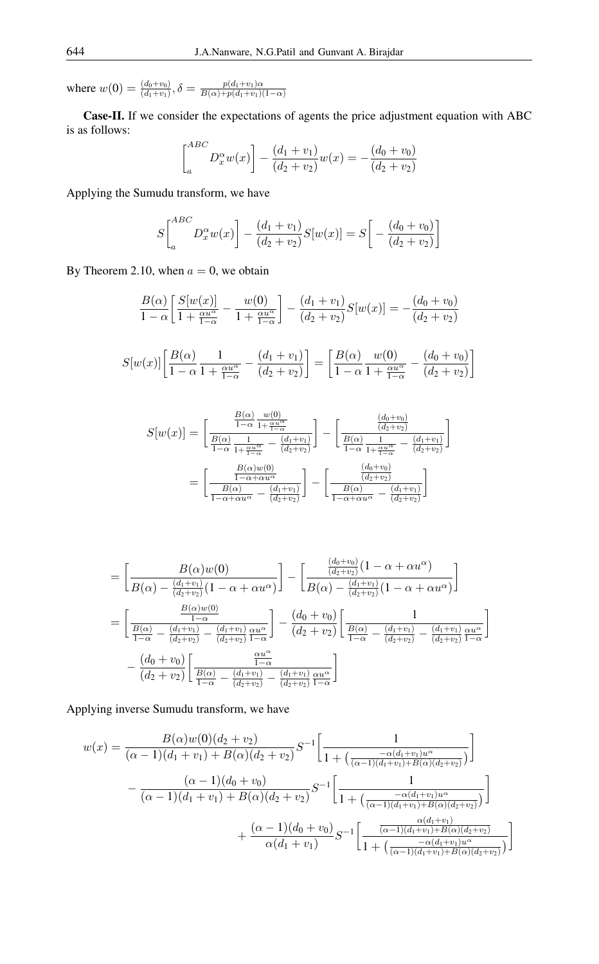where  $w(0) = \frac{(d_0 + v_0)}{(d_1 + v_1)}$ ,  $\delta = \frac{p(d_1 + v_1)\alpha}{B(\alpha) + p(d_1 + v_1)}$  $B(\alpha)+p(d_1+v_1)(1-\alpha)$ 

Case-II. If we consider the expectations of agents the price adjustment equation with ABC is as follows:

$$
\begin{bmatrix}^{ABC} \\ a \end{bmatrix} D_x^{\alpha} w(x) \bigg] - \frac{(d_1 + v_1)}{(d_2 + v_2)} w(x) = -\frac{(d_0 + v_0)}{(d_2 + v_2)}
$$

Applying the Sumudu transform, we have

$$
S\begin{bmatrix}^{ABC} \\ a \end{bmatrix} D_x^{\alpha} w(x) \bigg] - \frac{(d_1 + v_1)}{(d_2 + v_2)} S[w(x)] = S\bigg[ - \frac{(d_0 + v_0)}{(d_2 + v_2)} \bigg]
$$

By Theorem 2.10, when  $a = 0$ , we obtain

$$
\frac{B(\alpha)}{1-\alpha} \left[ \frac{S[w(x)]}{1+\frac{\alpha u^{\alpha}}{1-\alpha}} - \frac{w(0)}{1+\frac{\alpha u^{\alpha}}{1-\alpha}} \right] - \frac{(d_1+v_1)}{(d_2+v_2)} S[w(x)] = -\frac{(d_0+v_0)}{(d_2+v_2)}
$$

$$
S[w(x)]\left[\frac{B(\alpha)}{1-\alpha}\frac{1}{1+\frac{\alpha u^{\alpha}}{1-\alpha}} - \frac{(d_1+v_1)}{(d_2+v_2)}\right] = \left[\frac{B(\alpha)}{1-\alpha}\frac{w(0)}{1+\frac{\alpha u^{\alpha}}{1-\alpha}} - \frac{(d_0+v_0)}{(d_2+v_2)}\right]
$$

$$
S[w(x)] = \left[\frac{\frac{B(\alpha)}{1-\alpha}\frac{w(0)}{1+\frac{\alpha\alpha}{1-\alpha}}}{\frac{B(\alpha)}{1-\alpha}\frac{1}{1+\frac{\alpha\alpha}{1-\alpha}} - \frac{(d_1+v_1)}{(d_2+v_2)}}\right] - \left[\frac{\frac{(d_0+v_0)}{(d_2+v_2)}}{\frac{B(\alpha)}{1-\alpha}\frac{1}{1+\frac{\alpha\alpha}{1-\alpha}} - \frac{(d_1+v_1)}{(d_2+v_2)}}\right]
$$

$$
= \left[\frac{\frac{B(\alpha)w(0)}{1-\alpha+\alpha u^{\alpha}}}{\frac{B(\alpha)}{1-\alpha+\alpha u^{\alpha}} - \frac{(d_1+v_1)}{(d_2+v_2)}}\right] - \left[\frac{\frac{(d_0+v_0)}{(d_2+v_2)}}{\frac{B(\alpha)}{1-\alpha+\alpha u^{\alpha}} - \frac{(d_1+v_1)}{(d_2+v_2)}}\right]
$$

$$
= \left[\frac{B(\alpha)w(0)}{B(\alpha) - \frac{(d_1+v_1)}{(d_2+v_2)}(1-\alpha+\alpha u^{\alpha})}\right] - \left[\frac{\frac{(d_0+v_0)}{(d_2+v_2)}(1-\alpha+\alpha u^{\alpha})}{B(\alpha) - \frac{(d_1+v_1)}{(d_2+v_2)}(1-\alpha+\alpha u^{\alpha})}\right]
$$
  

$$
= \left[\frac{\frac{B(\alpha)w(0)}{1-\alpha}}{\frac{B(\alpha)}{1-\alpha} - \frac{(d_1+v_1)}{(d_2+v_2)} - \frac{(d_1+v_1)}{(d_2+v_2)}\frac{\alpha u^{\alpha}}{1-\alpha}}\right] - \frac{(d_0+v_0)}{(d_2+v_2)} \left[\frac{B(\alpha)}{\frac{B(\alpha)}{1-\alpha} - \frac{(d_1+v_1)}{(d_2+v_2)} - \frac{(d_1+v_1)}{(d_2+v_2)}\frac{\alpha u^{\alpha}}{1-\alpha}}\right]
$$
  

$$
- \frac{(d_0+v_0)}{(d_2+v_2)} \left[\frac{\frac{\alpha u^{\alpha}}{1-\alpha}}{\frac{B(\alpha)}{1-\alpha} - \frac{(d_1+v_1)}{(d_2+v_2)} - \frac{(d_1+v_1)}{(d_2+v_2)}\frac{\alpha u^{\alpha}}{1-\alpha}}\right]
$$

Applying inverse Sumudu transform, we have

$$
w(x) = \frac{B(\alpha)w(0)(d_2 + v_2)}{(\alpha - 1)(d_1 + v_1) + B(\alpha)(d_2 + v_2)} S^{-1} \left[ \frac{1}{1 + \left(\frac{-\alpha(d_1 + v_1)u^{\alpha}}{(\alpha - 1)(d_1 + v_1) + B(\alpha)(d_2 + v_2)}\right)} \right]
$$

$$
- \frac{(\alpha - 1)(d_0 + v_0)}{(\alpha - 1)(d_1 + v_1) + B(\alpha)(d_2 + v_2)} S^{-1} \left[ \frac{1}{1 + \left(\frac{-\alpha(d_1 + v_1)u^{\alpha}}{(\alpha - 1)(d_1 + v_1) + B(\alpha)(d_2 + v_2)}\right)} \right]
$$

$$
+ \frac{(\alpha - 1)(d_0 + v_0)}{\alpha(d_1 + v_1)} S^{-1} \left[ \frac{\frac{\alpha(d_1 + v_1)}{(\alpha - 1)(d_1 + v_1) + B(\alpha)(d_2 + v_2)}}{1 + \left(\frac{-\alpha(d_1 + v_1)u^{\alpha}}{(\alpha - 1)(d_1 + v_1) + B(\alpha)(d_2 + v_2)}\right)} \right]
$$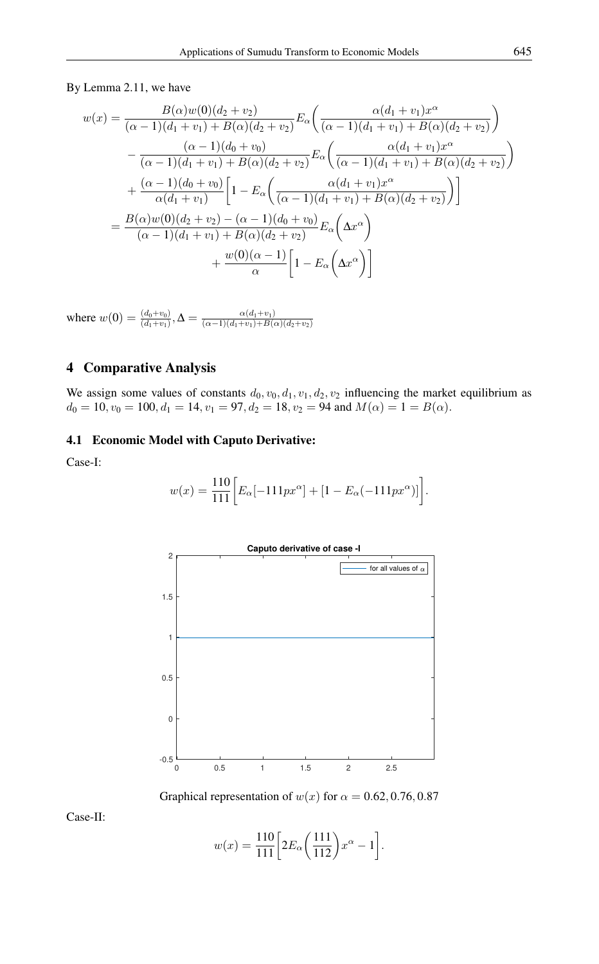By Lemma 2.11, we have

$$
w(x) = \frac{B(\alpha)w(0)(d_2 + v_2)}{(\alpha - 1)(d_1 + v_1) + B(\alpha)(d_2 + v_2)} E_{\alpha} \left( \frac{\alpha(d_1 + v_1)x^{\alpha}}{(\alpha - 1)(d_1 + v_1) + B(\alpha)(d_2 + v_2)} \right)
$$
  

$$
- \frac{(\alpha - 1)(d_0 + v_0)}{(\alpha - 1)(d_1 + v_1) + B(\alpha)(d_2 + v_2)} E_{\alpha} \left( \frac{\alpha(d_1 + v_1)x^{\alpha}}{(\alpha - 1)(d_1 + v_1) + B(\alpha)(d_2 + v_2)} \right)
$$
  

$$
+ \frac{(\alpha - 1)(d_0 + v_0)}{\alpha(d_1 + v_1)} \left[ 1 - E_{\alpha} \left( \frac{\alpha(d_1 + v_1)x^{\alpha}}{(\alpha - 1)(d_1 + v_1) + B(\alpha)(d_2 + v_2)} \right) \right]
$$
  

$$
= \frac{B(\alpha)w(0)(d_2 + v_2) - (\alpha - 1)(d_0 + v_0)}{(\alpha - 1)(d_1 + v_1) + B(\alpha)(d_2 + v_2)} E_{\alpha} \left( \Delta x^{\alpha} \right)
$$
  

$$
+ \frac{w(0)(\alpha - 1)}{\alpha} \left[ 1 - E_{\alpha} \left( \Delta x^{\alpha} \right) \right]
$$

where  $w(0) = \frac{(d_0 + v_0)}{(d_1 + v_1)}$ ,  $\Delta = \frac{\alpha(d_1 + v_1)}{(\alpha - 1)(d_1 + v_1) + B(\alpha)}$  $(\alpha-1)(d_1+v_1)+B(\alpha)(d_2+v_2)$ 

### 4 Comparative Analysis

We assign some values of constants  $d_0$ ,  $v_0$ ,  $d_1$ ,  $v_1$ ,  $d_2$ ,  $v_2$  influencing the market equilibrium as  $d_0 = 10$ ,  $v_0 = 100$ ,  $d_1 = 14$ ,  $v_1 = 97$ ,  $d_2 = 18$ ,  $v_2 = 94$  and  $M(\alpha) = 1 = B(\alpha)$ .

### 4.1 Economic Model with Caputo Derivative:

Case-I:

$$
w(x) = \frac{110}{111} \bigg[ E_{\alpha}[-111px^{\alpha}] + [1 - E_{\alpha}(-111px^{\alpha})] \bigg].
$$



Graphical representation of  $w(x)$  for  $\alpha = 0.62, 0.76, 0.87$ 

Case-II:

$$
w(x) = \frac{110}{111} \left[ 2E_{\alpha} \left( \frac{111}{112} \right) x^{\alpha} - 1 \right].
$$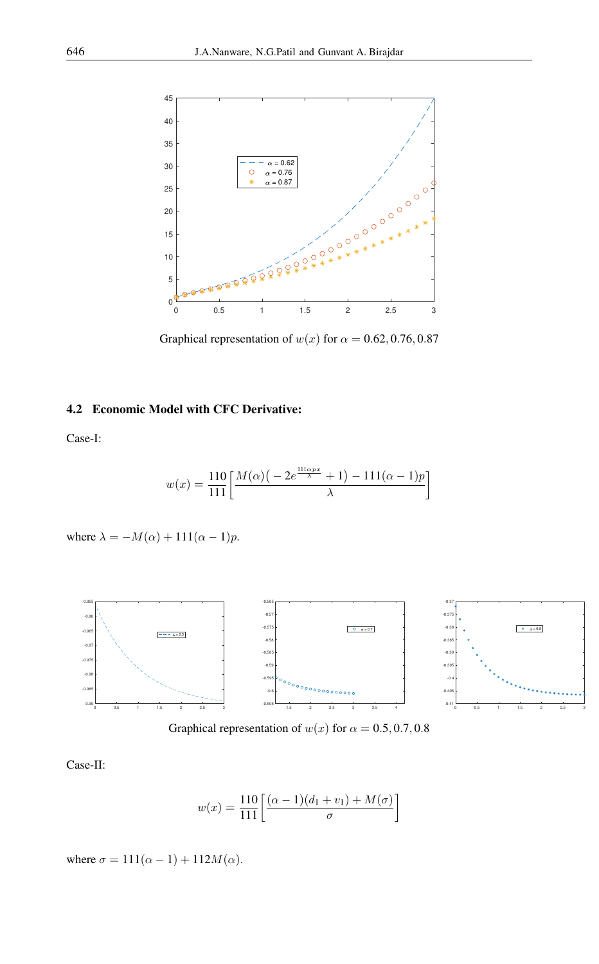

Graphical representation of  $w(x)$  for  $\alpha = 0.62, 0.76, 0.87$ 

### 4.2 Economic Model with CFC Derivative:

Case-I:

$$
w(x) = \frac{110}{111} \left[ \frac{M(\alpha) \left( -2e^{\frac{111\alpha px}{\lambda}} + 1 \right) - 111(\alpha - 1)p}{\lambda} \right]
$$

where 
$$
\lambda = -M(\alpha) + 111(\alpha - 1)p
$$
.



Graphical representation of  $w(x)$  for  $\alpha = 0.5, 0.7, 0.8$ 

Case-II:

$$
w(x) = \frac{110}{111} \left[ \frac{(\alpha - 1)(d_1 + v_1) + M(\sigma)}{\sigma} \right]
$$

where  $\sigma = 111(\alpha - 1) + 112M(\alpha)$ .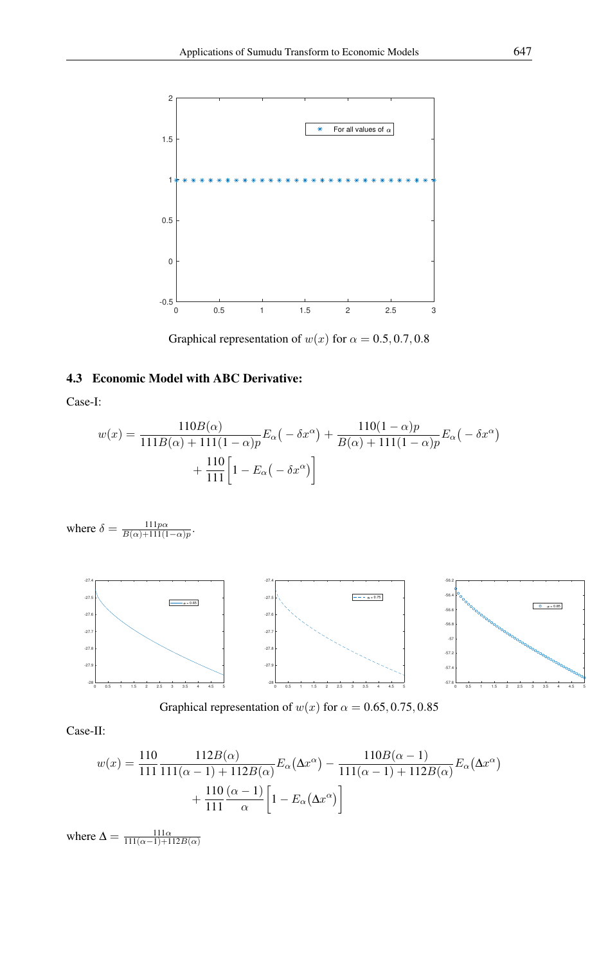

Graphical representation of  $w(x)$  for  $\alpha = 0.5, 0.7, 0.8$ 

## 4.3 Economic Model with ABC Derivative:

Case-I:

$$
w(x) = \frac{110B(\alpha)}{111B(\alpha) + 111(1 - \alpha)p} E_{\alpha}(-\delta x^{\alpha}) + \frac{110(1 - \alpha)p}{B(\alpha) + 111(1 - \alpha)p} E_{\alpha}(-\delta x^{\alpha}) + \frac{110}{111} \Big[ 1 - E_{\alpha}(-\delta x^{\alpha}) \Big]
$$

where  $\delta = \frac{111p\alpha}{B(\alpha)+111(1-\alpha)p}$ .



Graphical representation of  $w(x)$  for  $\alpha = 0.65, 0.75, 0.85$ 

Case-II:

$$
w(x) = \frac{110}{111} \frac{112B(\alpha)}{111(\alpha - 1) + 112B(\alpha)} E_{\alpha}(\Delta x^{\alpha}) - \frac{110B(\alpha - 1)}{111(\alpha - 1) + 112B(\alpha)} E_{\alpha}(\Delta x^{\alpha}) + \frac{110}{111} \frac{(\alpha - 1)}{\alpha} \left[ 1 - E_{\alpha}(\Delta x^{\alpha}) \right]
$$

where  $\Delta = \frac{111\alpha}{111(\alpha-1)+112B(\alpha)}$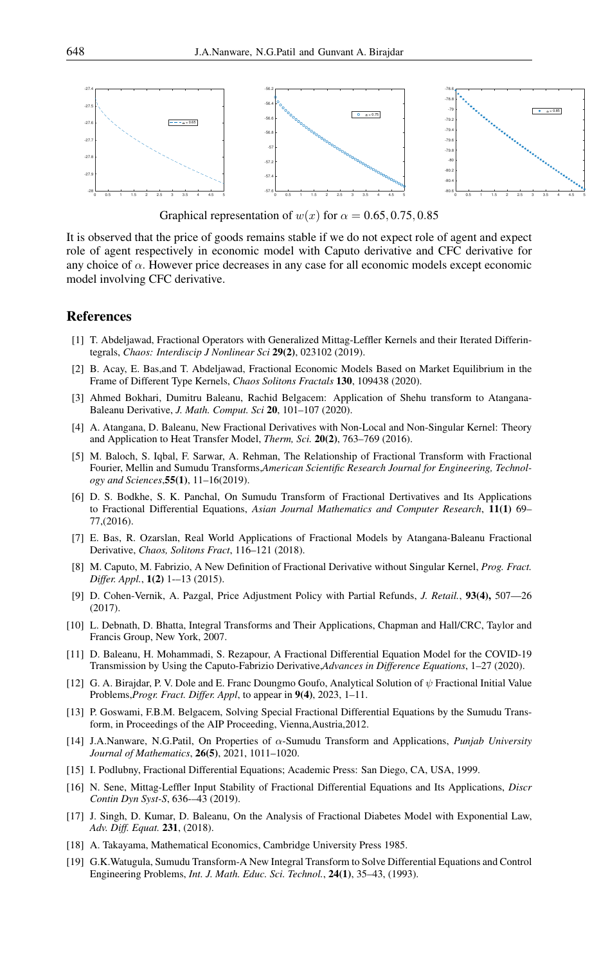

Graphical representation of  $w(x)$  for  $\alpha = 0.65, 0.75, 0.85$ 

It is observed that the price of goods remains stable if we do not expect role of agent and expect role of agent respectively in economic model with Caputo derivative and CFC derivative for any choice of  $\alpha$ . However price decreases in any case for all economic models except economic model involving CFC derivative.

### <span id="page-12-0"></span>References

- [1] T. Abdeljawad, Fractional Operators with Generalized Mittag-Leffler Kernels and their Iterated Differintegrals, *Chaos: Interdiscip J Nonlinear Sci* 29(2), 023102 (2019).
- <span id="page-12-14"></span>[2] B. Acay, E. Bas,and T. Abdeljawad, Fractional Economic Models Based on Market Equilibrium in the Frame of Different Type Kernels, *Chaos Solitons Fractals* 130, 109438 (2020).
- <span id="page-12-17"></span>[3] Ahmed Bokhari, Dumitru Baleanu, Rachid Belgacem: Application of Shehu transform to Atangana-Baleanu Derivative, *J. Math. Comput. Sci* 20, 101–107 (2020).
- <span id="page-12-5"></span>[4] A. Atangana, D. Baleanu, New Fractional Derivatives with Non-Local and Non-Singular Kernel: Theory and Application to Heat Transfer Model, *Therm, Sci.* 20(2), 763–769 (2016).
- <span id="page-12-7"></span>[5] M. Baloch, S. Iqbal, F. Sarwar, A. Rehman, The Relationship of Fractional Transform with Fractional Fourier, Mellin and Sumudu Transforms,*American Scientific Research Journal for Engineering, Technology and Sciences*,55(1), 11–16(2019).
- <span id="page-12-8"></span>[6] D. S. Bodkhe, S. K. Panchal, On Sumudu Transform of Fractional Dertivatives and Its Applications to Fractional Differential Equations, *Asian Journal Mathematics and Computer Research*, 11(1) 69– 77,(2016).
- <span id="page-12-13"></span>[7] E. Bas, R. Ozarslan, Real World Applications of Fractional Models by Atangana-Baleanu Fractional Derivative, *Chaos, Solitons Fract*, 116–121 (2018).
- <span id="page-12-4"></span>[8] M. Caputo, M. Fabrizio, A New Definition of Fractional Derivative without Singular Kernel, *Prog. Fract. Differ. Appl.*, 1(2) 1-–13 (2015).
- <span id="page-12-1"></span>[9] D. Cohen-Vernik, A. Pazgal, Price Adjustment Policy with Partial Refunds, *J. Retail.*, 93(4), 507—26 (2017).
- <span id="page-12-11"></span>[10] L. Debnath, D. Bhatta, Integral Transforms and Their Applications, Chapman and Hall/CRC, Taylor and Francis Group, New York, 2007.
- <span id="page-12-16"></span>[11] D. Baleanu, H. Mohammadi, S. Rezapour, A Fractional Differential Equation Model for the COVID-19 Transmission by Using the Caputo-Fabrizio Derivative,*Advances in Difference Equations*, 1–27 (2020).
- <span id="page-12-10"></span>[12] G. A. Birajdar, P. V. Dole and E. Franc Doungmo Goufo, Analytical Solution of ψ Fractional Initial Value Problems,*Progr. Fract. Differ. Appl*, to appear in 9(4), 2023, 1–11.
- <span id="page-12-15"></span>[13] P. Goswami, F.B.M. Belgacem, Solving Special Fractional Differential Equations by the Sumudu Transform, in Proceedings of the AIP Proceeding, Vienna,Austria,2012.
- <span id="page-12-6"></span>[14] J.A.Nanware, N.G.Patil, On Properties of α-Sumudu Transform and Applications, *Punjab University Journal of Mathematics*, 26(5), 2021, 1011–1020.
- <span id="page-12-3"></span>[15] I. Podlubny, Fractional Differential Equations; Academic Press: San Diego, CA, USA, 1999.
- [16] N. Sene, Mittag-Leffler Input Stability of Fractional Differential Equations and Its Applications, *Discr Contin Dyn Syst-S*, 636-–43 (2019).
- <span id="page-12-12"></span>[17] J. Singh, D. Kumar, D. Baleanu, On the Analysis of Fractional Diabetes Model with Exponential Law, *Adv. Diff. Equat.* 231, (2018).
- <span id="page-12-2"></span>[18] A. Takayama, Mathematical Economics, Cambridge University Press 1985.
- <span id="page-12-9"></span>[19] G.K.Watugula, Sumudu Transform-A New Integral Transform to Solve Differential Equations and Control Engineering Problems, *Int. J. Math. Educ. Sci. Technol.*, 24(1), 35–43, (1993).